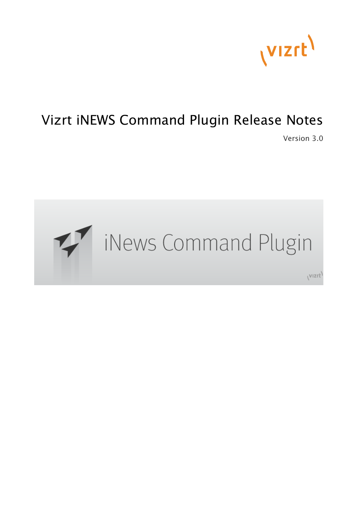

# Vizrt iNEWS Command Plugin Release Notes

Version 3.0

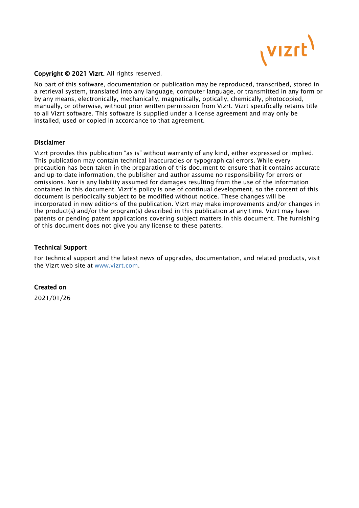

#### Copyright © 2021 Vizrt. All rights reserved.

No part of this software, documentation or publication may be reproduced, transcribed, stored in a retrieval system, translated into any language, computer language, or transmitted in any form or by any means, electronically, mechanically, magnetically, optically, chemically, photocopied, manually, or otherwise, without prior written permission from Vizrt. Vizrt specifically retains title to all Vizrt software. This software is supplied under a license agreement and may only be installed, used or copied in accordance to that agreement.

#### Disclaimer

Vizrt provides this publication "as is" without warranty of any kind, either expressed or implied. This publication may contain technical inaccuracies or typographical errors. While every precaution has been taken in the preparation of this document to ensure that it contains accurate and up-to-date information, the publisher and author assume no responsibility for errors or omissions. Nor is any liability assumed for damages resulting from the use of the information contained in this document. Vizrt's policy is one of continual development, so the content of this document is periodically subject to be modified without notice. These changes will be incorporated in new editions of the publication. Vizrt may make improvements and/or changes in the product(s) and/or the program(s) described in this publication at any time. Vizrt may have patents or pending patent applications covering subject matters in this document. The furnishing of this document does not give you any license to these patents.

#### Technical Support

For technical support and the latest news of upgrades, documentation, and related products, visit the Vizrt web site at [www.vizrt.com.](http://www.vizrt.com)

#### Created on

2021/01/26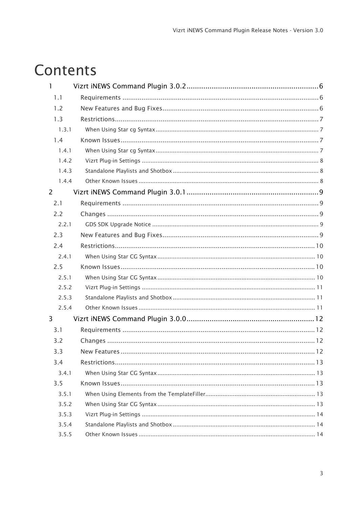# Contents

| 1     |  |
|-------|--|
| 1.1   |  |
| 1.2   |  |
| 1.3   |  |
| 1.3.1 |  |
| 1.4   |  |
| 1.4.1 |  |
| 1.4.2 |  |
| 1.4.3 |  |
| 1.4.4 |  |
| 2     |  |
| 2.1   |  |
| 2.2   |  |
| 2.2.1 |  |
| 2.3   |  |
| 2.4   |  |
| 2.4.1 |  |
| 2.5   |  |
| 2.5.1 |  |
| 2.5.2 |  |
| 2.5.3 |  |
| 2.5.4 |  |
| 3     |  |
| 3.1   |  |
| 3.2   |  |
| 3.3   |  |
| 3.4   |  |
| 3.4.1 |  |
| 3.5   |  |
| 3.5.1 |  |
| 3.5.2 |  |
| 3.5.3 |  |
| 3.5.4 |  |
| 3.5.5 |  |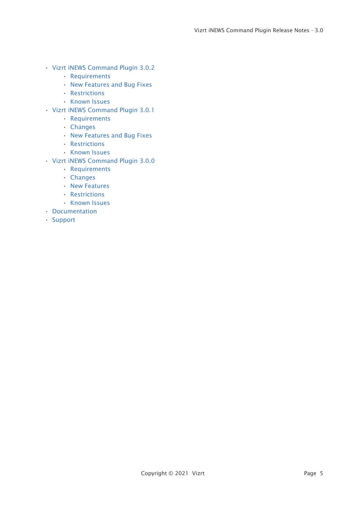- [Vizrt iNEWS Command Plugin 3.0.2](#page-5-0)
	- [Requirements](#page-5-1)
	- [New Features and Bug Fixes](#page-5-2)
	- [Restrictions](#page-6-0)
	- [Known Issues](#page-6-2)
- [Vizrt iNEWS Command Plugin 3.0.1](#page-8-0)
	- [Requirements](#page-8-1)
	- [Changes](#page-8-2)
	- [New Features and Bug Fixes](#page-8-4)
	- [Restrictions](#page-9-0)
	- [Known Issues](#page-9-2)
- [Vizrt iNEWS Command Plugin 3.0.0](#page-11-0)
	- [Requirements](#page-11-1)
	- [Changes](#page-11-2)
	- [New Features](#page-11-3)
	- [Restrictions](#page-12-0)
	- [Known Issues](#page-12-2)
- [Documentation](#page-15-0)
- [Support](#page-16-0)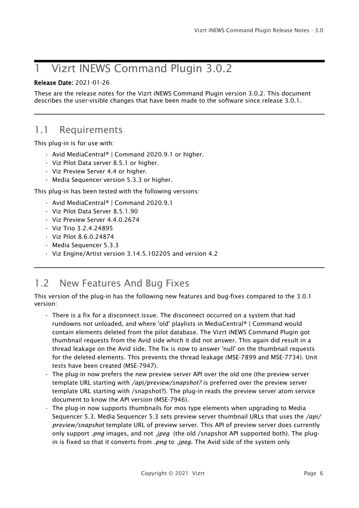## <span id="page-5-0"></span>1 Vizrt INEWS Command Plugin 3.0.2

#### Release Date: 2021-01-26

These are the release notes for the Vizrt iNEWS Command Plugin version 3.0.2. This document describes the user-visible changes that have been made to the software since release 3.0.1.

#### <span id="page-5-1"></span>1.1 Requirements

This plug-in is for use with:

- Avid MediaCentral® | Command 2020.9.1 or higher.
- Viz Pilot Data server 8.5.1 or higher.
- Viz Preview Server 4.4 or higher.
- Media Sequencer version 5.3.3 or higher.

This plug-in has been tested with the following versions:

- Avid MediaCentral® | Command 2020.9.1
- Viz Pilot Data Server 8.5.1.90
- Viz Preview Server 4.4.0.2674
- Viz Trio 3.2.4.24895
- Viz Pilot 8.6.0.24874
- Media Sequencer 5.3.3
- Viz Engine/Artist version 3.14.5.102205 and version 4.2

## <span id="page-5-2"></span>1.2 New Features And Bug Fixes

This version of the plug-in has the following new features and bug-fixes compared to the 3.0.1 version:

- There is a fix for a disconnect issue. The disconnect occurred on a system that had rundowns not unloaded, and where 'old' playlists in MediaCentral® | Command would contain elements deleted from the pilot database. The Vizrt iNEWS Command Plugin got thumbnail requests from the Avid side which it did not answer. This again did result in a thread leakage on the Avid side. The fix is now to answer 'null' on the thumbnail requests for the deleted elements. This prevents the thread leakage (MSE-7899 and MSE-7734). Unit tests have been created (MSE-7947).
- The plug-in now prefers the new preview server API over the old one (the preview server template URL starting with */api/preview/snapshot?* is preferred over the preview server template URL starting with /snapshot?). The plug-in reads the preview server atom service document to know the API version (MSE-7946).
- The plug-in now supports thumbnails for mos type elements when upgrading to Media Sequencer 5.3. Media Sequencer 5.3 sets preview server thumbnail URLs that uses the */api/ preview/snapshot* template URL of preview server. This API of preview server does currently only support *.png* images, and not *.jpeg* (the old /snapshot API supported both). The plugin is fixed so that it converts from *.png* to *.jpeg*. The Avid side of the system only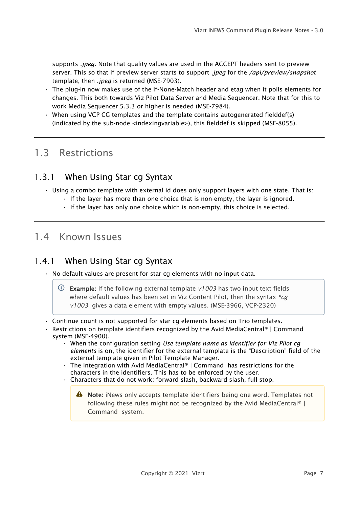supports *.jpeg*. Note that quality values are used in the ACCEPT headers sent to preview server. This so that if preview server starts to support *.jpeg* for the */api/preview/snapshot* template, then *.jpeg* is returned (MSE-7903).

- The plug-in now makes use of the If-None-Match header and etag when it polls elements for changes. This both towards Viz Pilot Data Server and Media Sequencer. Note that for this to work Media Sequencer 5.3.3 or higher is needed (MSE-7984).
- When using VCP CG templates and the template contains autogenerated fielddef(s) (indicated by the sub-node  $\langle$ indexingvariable>), this fielddef is skipped (MSE-8055).

## <span id="page-6-0"></span>1.3 Restrictions

#### <span id="page-6-1"></span>1.3.1 When Using Star cg Syntax

- Using a combo template with external id does only support layers with one state. That is:
	- If the layer has more than one choice that is non-empty, the layer is ignored.
	- If the layer has only one choice which is non-empty, this choice is selected.

#### <span id="page-6-2"></span>1.4 Known Issues

#### <span id="page-6-3"></span>1.4.1 When Using Star cg Syntax

• No default values are present for star cg elements with no input data.

Example: If the following external template *v1003* has two input text fields where default values has been set in Viz Content Pilot, then the syntax *\*cg v1003* gives a data element with empty values. (MSE-3966, VCP-2320)

- Continue count is not supported for star cg elements based on Trio templates.
- Restrictions on template identifiers recognized by the Avid MediaCentral® | Command system (MSE-4900).
	- When the configuration setting *Use template name as identifier for Viz Pilot cg elements* is on, the identifier for the external template is the "Description" field of the external template given in Pilot Template Manager.
	- The integration with Avid MediaCentral® | Command has restrictions for the characters in the identifiers. This has to be enforced by the user.
	- Characters that do not work: forward slash, backward slash, full stop.
		- A Note: iNews only accepts template identifiers being one word. Templates not following these rules might not be recognized by the Avid MediaCentral® | Command system.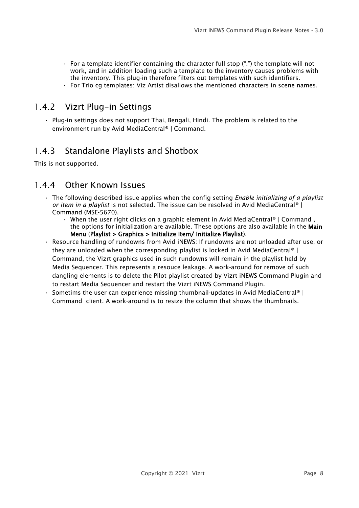- For a template identifier containing the character full stop (".") the template will not work, and in addition loading such a template to the inventory causes problems with the inventory. This plug-in therefore filters out templates with such identifiers.
- For Trio cg templates: Viz Artist disallows the mentioned characters in scene names.

#### <span id="page-7-0"></span>1.4.2 Vizrt Plug-in Settings

• Plug-in settings does not support Thai, Bengali, Hindi. The problem is related to the environment run by Avid MediaCentral® | Command.

#### <span id="page-7-1"></span>1.4.3 Standalone Playlists and Shotbox

This is not supported.

#### <span id="page-7-2"></span>1.4.4 Other Known Issues

- The following described issue applies when the config setting *Enable initializing of a playlist or item in a playlist* is not selected. The issue can be resolved in Avid MediaCentral® | Command (MSE-5670).
	- When the user right clicks on a graphic element in Avid MediaCentral® | Command , the options for initialization are available. These options are also available in the Main Menu (Playlist > Graphics > Initialize Item/ Initialize Playlist).
- Resource handling of rundowns from Avid iNEWS: If rundowns are not unloaded after use, or they are unloaded when the corresponding playlist is locked in Avid MediaCentral® | Command, the Vizrt graphics used in such rundowns will remain in the playlist held by Media Sequencer. This represents a resouce leakage. A work-around for remove of such dangling elements is to delete the Pilot playlist created by Vizrt iNEWS Command Plugin and to restart Media Sequencer and restart the Vizrt iNEWS Command Plugin.
- Sometims the user can experience missing thumbnail-updates in Avid MediaCentral® | Command client. A work-around is to resize the column that shows the thumbnails.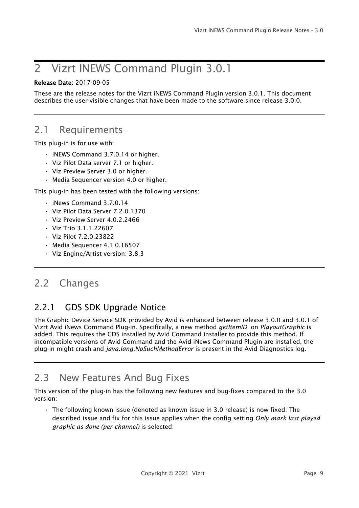## <span id="page-8-0"></span>2 Vizrt INEWS Command Plugin 3.0.1

#### Release Date: 2017-09-05

These are the release notes for the Vizrt iNEWS Command Plugin version 3.0.1. This document describes the user-visible changes that have been made to the software since release 3.0.0.

### <span id="page-8-1"></span>2.1 Requirements

This plug-in is for use with:

- iNEWS Command 3.7.0.14 or higher.
- Viz Pilot Data server 7.1 or higher.
- Viz Preview Server 3.0 or higher.
- Media Sequencer version 4.0 or higher.

This plug-in has been tested with the following versions:

- iNews Command 3.7.0.14
- Viz Pilot Data Server 7.2.0.1370
- Viz Preview Server 4.0.2.2466
- Viz Trio 3.1.1.22607
- Viz Pilot 7.2.0.23822
- Media Sequencer 4.1.0.16507
- Viz Engine/Artist version: 3.8.3

## <span id="page-8-2"></span>2.2 Changes

#### <span id="page-8-3"></span>2.2.1 GDS SDK Upgrade Notice

The Graphic Device Service SDK provided by Avid is enhanced between release 3.0.0 and 3.0.1 of Vizrt Avid iNews Command Plug-in. Specifically, a new method *getItemID* on *PlayoutGraphic* is added. This requires the GDS installed by Avid Command installer to provide this method. If incompatible versions of Avid Command and the Avid iNews Command Plugin are installed, the plug-in might crash and *java.lang.NoSuchMethodError* is present in the Avid Diagnostics log.

## <span id="page-8-4"></span>2.3 New Features And Bug Fixes

This version of the plug-in has the following new features and bug-fixes compared to the 3.0 version:

• The following known issue (denoted as known issue in 3.0 release) is now fixed: The described issue and fix for this issue applies when the config setting *Only mark last played graphic as done (per channel)* is selected: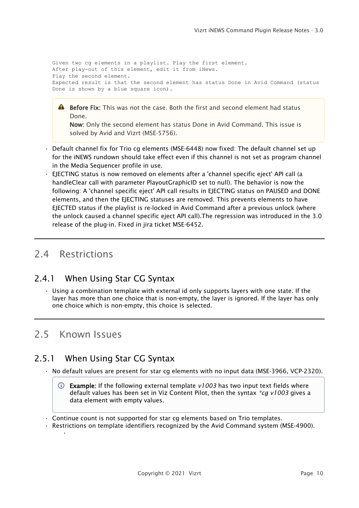Given two cg elements in a playlist. Play the first element. After play-out of this element, edit it from iNews. Play the second element. Expected result is that the second element has status Done in Avid Command (status Done is shown by a blue square icon).

A Before Fix: This was not the case. Both the first and second element had status Done.

Now: Only the second element has status Done in Avid Command. This issue is solved by Avid and Vizrt (MSE-5756).

- Default channel fix for Trio cg elements (MSE-6448) now fixed: The default channel set up for the iNEWS rundown should take effect even if this channel is not set as program channel in the Media Sequencer profile in use.
- EJECTING status is now removed on elements after a 'channel specific eject' API call (a handleClear call with parameter PlayoutGraphicID set to null). The behavior is now the following: A 'channel specific eject' API call results in EJECTING status on PAUSED and DONE elements, and then the EJECTING statuses are removed. This prevents elements to have EJECTED status if the playlist is re-locked in Avid Command after a previous unlock (where the unlock caused a channel specific eject API call).The regression was introduced in the 3.0 release of the plug-in. Fixed in jira ticket MSE-6452.

### <span id="page-9-0"></span>2.4 Restrictions

#### <span id="page-9-1"></span>2.4.1 When Using Star CG Syntax

• Using a combination template with external id only supports layers with one state. If the layer has more than one choice that is non-empty, the layer is ignored. If the layer has only one choice which is non-empty, this choice is selected.

### <span id="page-9-2"></span>2.5 Known Issues

•

#### <span id="page-9-3"></span>2.5.1 When Using Star CG Syntax

- No default values are present for star cg elements with no input data (MSE-3966, VCP-2320).
	- Example: If the following external template *v1003* has two input text fields where default values has been set in Viz Content Pilot, then the syntax *\*cg v1003* gives a data element with empty values.  $\odot$
- Continue count is not supported for star cg elements based on Trio templates.
- Restrictions on template identifiers recognized by the Avid Command system (MSE-4900).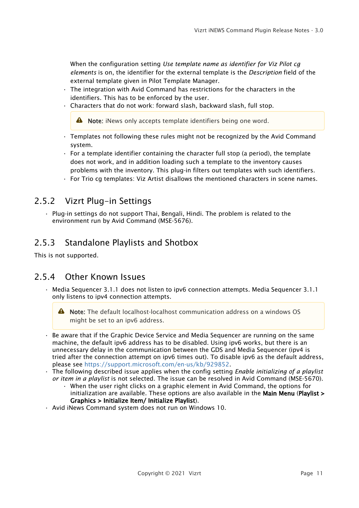When the configuration setting *Use template name as identifier for Viz Pilot cg elements* is on, the identifier for the external template is the *Description* field of the external template given in Pilot Template Manager.

- The integration with Avid Command has restrictions for the characters in the identifiers. This has to be enforced by the user.
- Characters that do not work: forward slash, backward slash, full stop.

A Note: iNews only accepts template identifiers being one word.

- Templates not following these rules might not be recognized by the Avid Command system.
- For a template identifier containing the character full stop (a period), the template does not work, and in addition loading such a template to the inventory causes problems with the inventory. This plug-in filters out templates with such identifiers.
- For Trio cg templates: Viz Artist disallows the mentioned characters in scene names.

#### <span id="page-10-0"></span>2.5.2 Vizrt Plug-in Settings

• Plug-in settings do not support Thai, Bengali, Hindi. The problem is related to the environment run by Avid Command (MSE-5676).

#### <span id="page-10-1"></span>2.5.3 Standalone Playlists and Shotbox

This is not supported.

#### <span id="page-10-2"></span>2.5.4 Other Known Issues

• Media Sequencer 3.1.1 does not listen to ipv6 connection attempts. Media Sequencer 3.1.1 only listens to ipv4 connection attempts.

A Note: The default localhost-localhost communication address on a windows OS might be set to an ipv6 address.

- Be aware that if the Graphic Device Service and Media Sequencer are running on the same machine, the default ipv6 address has to be disabled. Using ipv6 works, but there is an unnecessary delay in the communication between the GDS and Media Sequencer (ipv4 is tried after the connection attempt on ipv6 times out). To disable ipv6 as the default address, please see <https://support.microsoft.com/en-us/kb/929852>.
- The following described issue applies when the config setting *Enable initializing of a playlist or item in a playlist* is not selected. The issue can be resolved in Avid Command (MSE-5670).
	- When the user right clicks on a graphic element in Avid Command, the options for initialization are available. These options are also available in the **Main Menu (Playlist >** Graphics > Initialize Item/ Initialize Playlist).
- Avid iNews Command system does not run on Windows 10.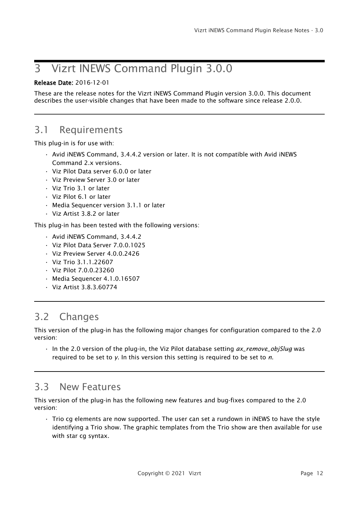## <span id="page-11-0"></span>3 Vizrt INEWS Command Plugin 3.0.0

#### Release Date: 2016-12-01

These are the release notes for the Vizrt iNEWS Command Plugin version 3.0.0. This document describes the user-visible changes that have been made to the software since release 2.0.0.

#### <span id="page-11-1"></span>3.1 Requirements

This plug-in is for use with:

- Avid iNEWS Command, 3.4.4.2 version or later. It is not compatible with Avid iNEWS Command 2.x versions.
- Viz Pilot Data server 6.0.0 or later
- Viz Preview Server 3.0 or later
- Viz Trio 3.1 or later
- Viz Pilot 6.1 or later
- Media Sequencer version 3.1.1 or later
- Viz Artist 3.8.2 or later

This plug-in has been tested with the following versions:

- Avid iNEWS Command, 3.4.4.2
- Viz Pilot Data Server 7.0.0.1025
- Viz Preview Server 4.0.0.2426
- Viz Trio 3.1.1.22607
- Viz Pilot 7.0.0.23260
- Media Sequencer 4.1.0.16507
- Viz Artist 3.8.3.60774

## <span id="page-11-2"></span>3.2 Changes

This version of the plug-in has the following major changes for configuration compared to the 2.0 version:

• In the 2.0 version of the plug-in, the Viz Pilot database setting *ax\_remove\_objSlug* was required to be set to *y*. In this version this setting is required to be set to *n*.

### <span id="page-11-3"></span>3.3 New Features

This version of the plug-in has the following new features and bug-fixes compared to the 2.0 version:

• Trio cg elements are now supported. The user can set a rundown in iNEWS to have the style identifying a Trio show. The graphic templates from the Trio show are then available for use with star cg syntax.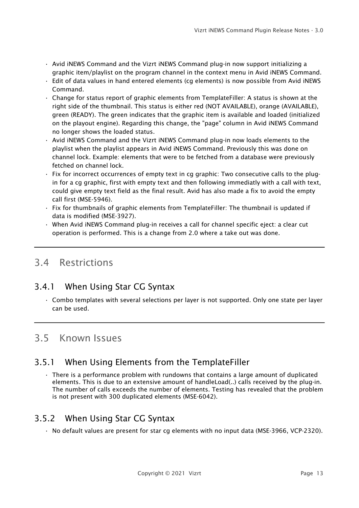- Avid iNEWS Command and the Vizrt iNEWS Command plug-in now support initializing a graphic item/playlist on the program channel in the context menu in Avid iNEWS Command.
- Edit of data values in hand entered elements (cg elements) is now possible from Avid iNEWS Command.
- Change for status report of graphic elements from TemplateFiller: A status is shown at the right side of the thumbnail. This status is either red (NOT AVAILABLE), orange (AVAILABLE), green (READY). The green indicates that the graphic item is available and loaded (initialized on the playout engine). Regarding this change, the "page" column in Avid iNEWS Command no longer shows the loaded status.
- Avid iNEWS Command and the Vizrt iNEWS Command plug-in now loads elements to the playlist when the playlist appears in Avid iNEWS Command. Previously this was done on channel lock. Example: elements that were to be fetched from a database were previously fetched on channel lock.
- Fix for incorrect occurrences of empty text in cg graphic: Two consecutive calls to the plugin for a cg graphic, first with empty text and then following immediatly with a call with text, could give empty text field as the final result. Avid has also made a fix to avoid the empty call first (MSE-5946).
- Fix for thumbnails of graphic elements from TemplateFiller: The thumbnail is updated if data is modified (MSE-3927).
- When Avid iNEWS Command plug-in receives a call for channel specific eject: a clear cut operation is performed. This is a change from 2.0 where a take out was done.

## <span id="page-12-0"></span>3.4 Restrictions

#### <span id="page-12-1"></span>3.4.1 When Using Star CG Syntax

• Combo templates with several selections per layer is not supported. Only one state per layer can be used.

#### <span id="page-12-2"></span>3.5 Known Issues

#### <span id="page-12-3"></span>3.5.1 When Using Elements from the TemplateFiller

• There is a performance problem with rundowns that contains a large amount of duplicated elements. This is due to an extensive amount of handleLoad(..) calls received by the plug-in. The number of calls exceeds the number of elements. Testing has revealed that the problem is not present with 300 duplicated elements (MSE-6042).

#### <span id="page-12-4"></span>3.5.2 When Using Star CG Syntax

• No default values are present for star cg elements with no input data (MSE-3966, VCP-2320).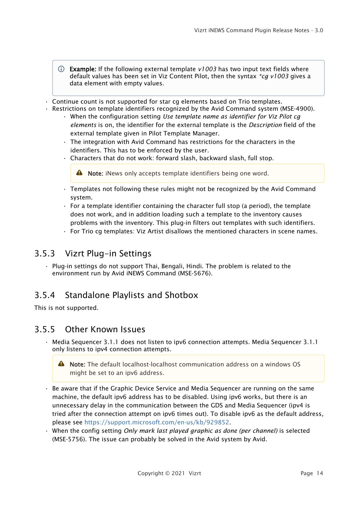- Example: If the following external template *v1003* has two input text fields where default values has been set in Viz Content Pilot, then the syntax *\*cg v1003* gives a data element with empty values.  $\odot$
- Continue count is not supported for star cg elements based on Trio templates.
- Restrictions on template identifiers recognized by the Avid Command system (MSE-4900).
	- When the configuration setting *Use template name as identifier for Viz Pilot cg elements* is on, the identifier for the external template is the *Description* field of the external template given in Pilot Template Manager.
	- The integration with Avid Command has restrictions for the characters in the identifiers. This has to be enforced by the user.
	- Characters that do not work: forward slash, backward slash, full stop.

A Note: iNews only accepts template identifiers being one word.

- Templates not following these rules might not be recognized by the Avid Command system.
- For a template identifier containing the character full stop (a period), the template does not work, and in addition loading such a template to the inventory causes problems with the inventory. This plug-in filters out templates with such identifiers.
- For Trio cg templates: Viz Artist disallows the mentioned characters in scene names.

#### <span id="page-13-0"></span>3.5.3 Vizrt Plug-in Settings

• Plug-in settings do not support Thai, Bengali, Hindi. The problem is related to the environment run by Avid iNEWS Command (MSE-5676).

#### <span id="page-13-1"></span>3.5.4 Standalone Playlists and Shotbox

This is not supported.

#### <span id="page-13-2"></span>3.5.5 Other Known Issues

• Media Sequencer 3.1.1 does not listen to ipv6 connection attempts. Media Sequencer 3.1.1 only listens to ipv4 connection attempts.

Note: The default localhost-localhost communication address on a windows OS might be set to an ipv6 address.  $\bullet$ 

- Be aware that if the Graphic Device Service and Media Sequencer are running on the same machine, the default ipv6 address has to be disabled. Using ipv6 works, but there is an unnecessary delay in the communication between the GDS and Media Sequencer (ipv4 is tried after the connection attempt on ipv6 times out). To disable ipv6 as the default address, please see <https://support.microsoft.com/en-us/kb/929852>.
- When the config setting *Only mark last played graphic as done (per channel)* is selected (MSE-5756). The issue can probably be solved in the Avid system by Avid.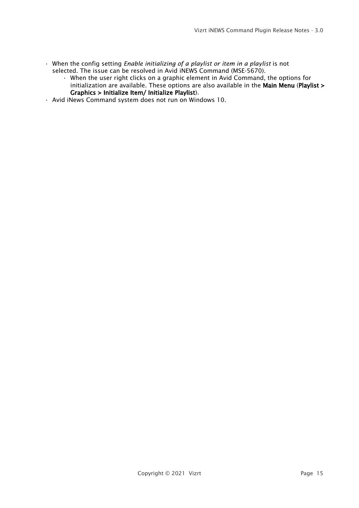- When the config setting *Enable initializing of a playlist or item in a playlist* is not selected. The issue can be resolved in Avid iNEWS Command (MSE-5670).
	- When the user right clicks on a graphic element in Avid Command, the options for initialization are available. These options are also available in the Main Menu (Playlist > Graphics > Initialize Item/ Initialize Playlist).
- Avid iNews Command system does not run on Windows 10.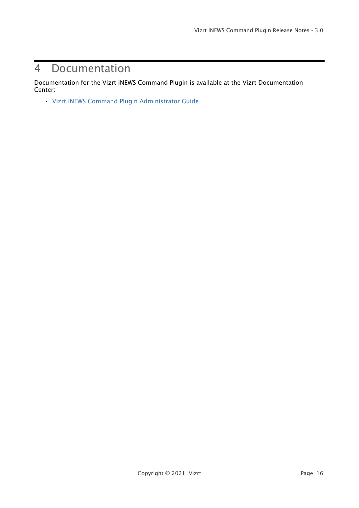## <span id="page-15-0"></span>4 Documentation

Documentation for the Vizrt iNEWS Command Plugin is available at the Vizrt Documentation Center:

• [Vizrt iNEWS Command Plugin Administrator Guide](http://docs.vizrt.com/viz-pilot)